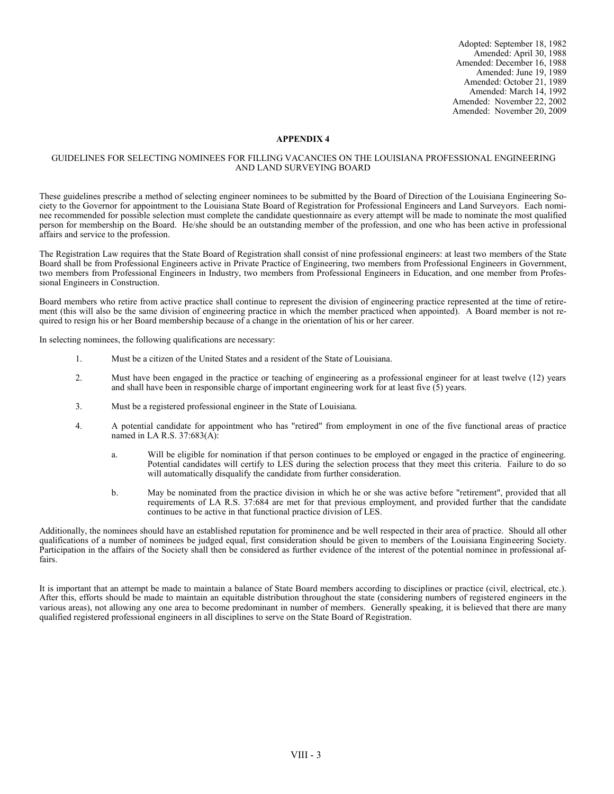Adopted: September 18, 1982 Amended: April 30, 1988 Amended: December 16, 1988 Amended: June 19, 1989 Amended: October 21, 1989 Amended: March 14, 1992 Amended: November 22, 2002 Amended: November 20, 2009

## **APPENDIX 4**

## GUIDELINES FOR SELECTING NOMINEES FOR FILLING VACANCIES ON THE LOUISIANA PROFESSIONAL ENGINEERING AND LAND SURVEYING BOARD

These guidelines prescribe a method of selecting engineer nominees to be submitted by the Board of Direction of the Louisiana Engineering Society to the Governor for appointment to the Louisiana State Board of Registration for Professional Engineers and Land Surveyors. Each nominee recommended for possible selection must complete the candidate questionnaire as every attempt will be made to nominate the most qualified person for membership on the Board. He/she should be an outstanding member of the profession, and one who has been active in professional affairs and service to the profession.

The Registration Law requires that the State Board of Registration shall consist of nine professional engineers: at least two members of the State Board shall be from Professional Engineers active in Private Practice of Engineering, two members from Professional Engineers in Government, two members from Professional Engineers in Industry, two members from Professional Engineers in Education, and one member from Professional Engineers in Construction.

Board members who retire from active practice shall continue to represent the division of engineering practice represented at the time of retirement (this will also be the same division of engineering practice in which the member practiced when appointed). A Board member is not required to resign his or her Board membership because of a change in the orientation of his or her career.

In selecting nominees, the following qualifications are necessary:

- 1. Must be a citizen of the United States and a resident of the State of Louisiana.
- 2. Must have been engaged in the practice or teaching of engineering as a professional engineer for at least twelve (12) years and shall have been in responsible charge of important engineering work for at least five (5) years.
- 3. Must be a registered professional engineer in the State of Louisiana.
- 4. A potential candidate for appointment who has "retired" from employment in one of the five functional areas of practice named in LA R.S. 37:683(A):
	- a. Will be eligible for nomination if that person continues to be employed or engaged in the practice of engineering. Potential candidates will certify to LES during the selection process that they meet this criteria. Failure to do so will automatically disqualify the candidate from further consideration.
	- b. May be nominated from the practice division in which he or she was active before "retirement", provided that all requirements of LA R.S. 37:684 are met for that previous employment, and provided further that the candidate continues to be active in that functional practice division of LES.

Additionally, the nominees should have an established reputation for prominence and be well respected in their area of practice. Should all other qualifications of a number of nominees be judged equal, first consideration should be given to members of the Louisiana Engineering Society. Participation in the affairs of the Society shall then be considered as further evidence of the interest of the potential nominee in professional affairs.

It is important that an attempt be made to maintain a balance of State Board members according to disciplines or practice (civil, electrical, etc.). After this, efforts should be made to maintain an equitable distribution throughout the state (considering numbers of registered engineers in the various areas), not allowing any one area to become predominant in number of members. Generally speaking, it is believed that there are many qualified registered professional engineers in all disciplines to serve on the State Board of Registration.